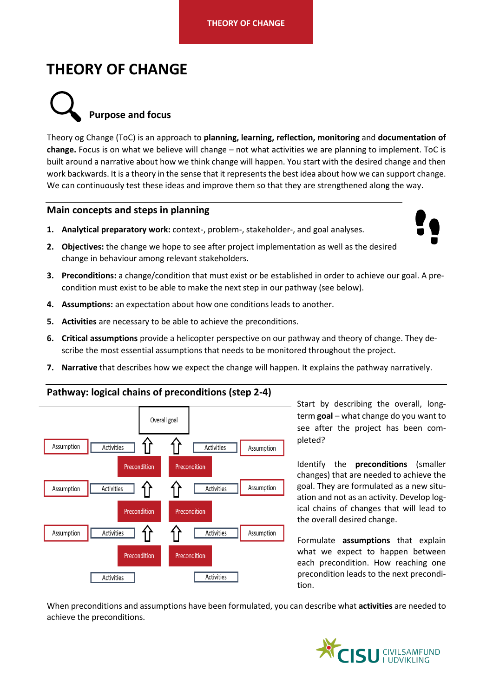# **THEORY OF CHANGE**



Theory og Change (ToC) is an approach to **planning, learning, reflection, monitoring** and **documentation of change.** Focus is on what we believe will change – not what activities we are planning to implement. ToC is built around a narrative about how we think change will happen. You start with the desired change and then work backwards. It is a theory in the sense that it represents the best idea about how we can support change. We can continuously test these ideas and improve them so that they are strengthened along the way.

### **Main concepts and steps in planning**

**1. Analytical preparatory work:** context-, problem-, stakeholder-, and goal analyses.

- **2. Objectives:** the change we hope to see after project implementation as well as the desired change in behaviour among relevant stakeholders.
- **3. Preconditions:** a change/condition that must exist or be established in order to achieve our goal. A precondition must exist to be able to make the next step in our pathway (see below).
- **4. Assumptions:** an expectation about how one conditions leads to another.
- **5. Activities** are necessary to be able to achieve the preconditions.
- **6. Critical assumptions** provide a helicopter perspective on our pathway and theory of change. They describe the most essential assumptions that needs to be monitored throughout the project.
- **7. Narrative** that describes how we expect the change will happen. It explains the pathway narratively.



**Pathway: logical chains of preconditions (step 2-4)**

Start by describing the overall, longterm **goal** – what change do you want to see after the project has been completed?

Identify the **preconditions** (smaller changes) that are needed to achieve the goal. They are formulated as a new situation and not as an activity. Develop logical chains of changes that will lead to the overall desired change.

Formulate **assumptions** that explain what we expect to happen between each precondition. How reaching one precondition leads to the next precondition.

When preconditions and assumptions have been formulated, you can describe what **activities** are needed to achieve the preconditions.